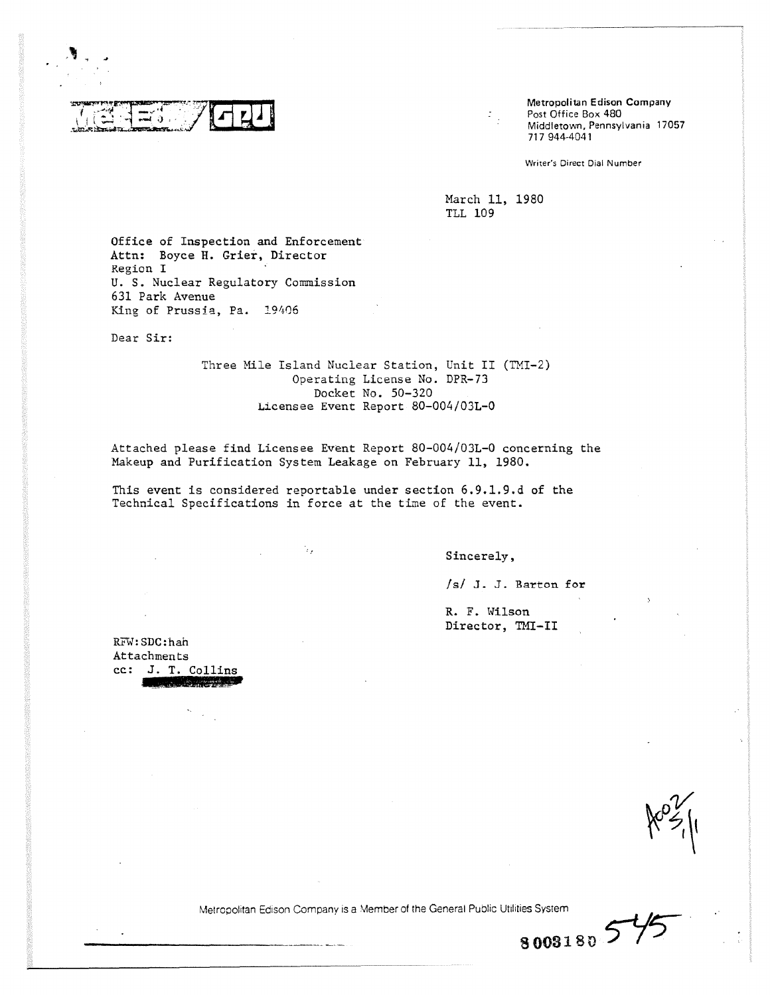

**Metropolitan Edison Company** Post Office Box 480 Middletown, Pennsylvania 17057 717 944-4041

Writer's Direct Dial Number

March 11, 1980 TLL 109

 $\mathbb{F}_2^+$ 

Office of Inspection and Enforcement Attn: Boyce H. Grier, Director Region I U. S. Nuclear Regulatory Commission 631 Park Avenue King of Prussia, Pa. 19406

Dear Sir:

Three Mile Island Nuclear Station, Unit II (TMI-2) Operating License No. DPR-73 Docket No. 50-320 Licensee Event Report 80-004/03L-0

Attached please find Licensee Event Report 80-004/03L-0 concerning the Makeup and Purification System Leakage on February 11, 1980.

This event is considered reportable under section 6.9.1.9.d of the Technical Specifications in force at the time of the event.

٠,

Sincerely,

/s/ J. J. Barton for

**8 0031 8 5--**

R. F. Wilson Director, TMI-II

RFW:SDC:hah Attachments cc: J. T. Collins

 $\kappa$   $\approx$   $\mu$ 

Metropolitan Edison Company is a Member of the General Public Utilities System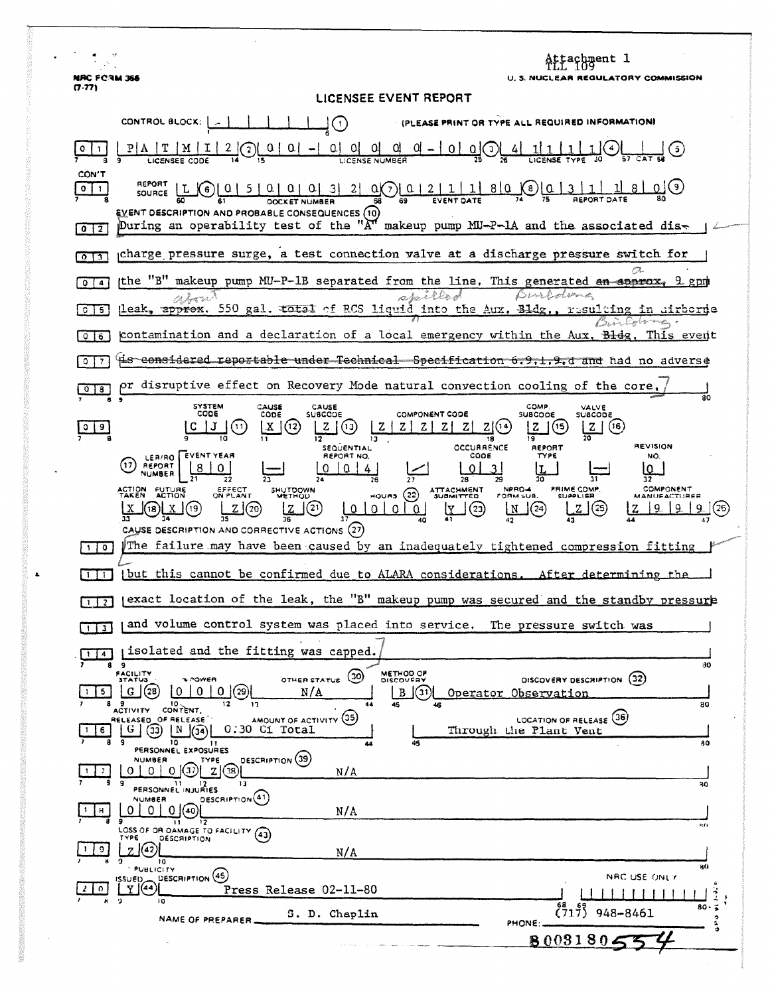Attachment 1<br>TLL 109 **NRC FORM 366** U. S. NUCLEAR REGULATORY COMMISSION  $(7.77)$ LICENSEE EVENT REPORT CONTROL BLOCK: | Ţ① (PLEASE PRINT OR TYPE ALL REQUIRED INFORMATION)  $\underbrace{0\,\,|\ \, 0\,\,|\ \, 0\,\,0\,\,0\,\,0\,\,0}_{\text{LICENSE NUMEGR}} = \underbrace{0\,\,|\ \, 0\,\,|\ \, 0\,\,0\,\,0}_{\text{2g}} = \underbrace{0\,\,|\ 0\,\,|\ 1\,\,|\ 1\,\,|\ 1\,\,|\ 1\,\,|\ 1\,\,|\ 1}_{\text{LICENSE TVPE}}$  $P | A | T | M | I | 2 | Q | 0 | 0 | -$ (ئ) ليه  $|0|1|$ LICENSEE CODE CON'T REPORT  $2|\mathbb{Q}[\frac{0}{2}|111180]$  $\boxed{0}$  1 SOURCE  $\begin{bmatrix} L & 0 & 0 & 5 & 0 & 0 & 0 & 3 \end{bmatrix}$ **OOCKET NUMBER** ᅙ **EVENT DESCRIPTION AND PROBABLE CONSEQUENCES (10)** During an operability test of the " $A^{\prime\prime}$  makeup pump MU-P-1A and the associated dis- $\sqrt{0}$ charge pressure surge, a test connection valve at a discharge pressure switch for  $\sqrt{2}$ the "B" makeup pump MU-P-1B separated from the line. This generated an approx.  $\sqrt{014}$  $9.8$  pm spilled Burboloma leak, apprex. 550 gal. total of RCS liquid into the Aux. Bldg. resulting in airborne  $\sqrt{6}$   $\sqrt{5}$ Builderma. contamination and a declaration of a local emergency within the Bidg This event Aux.  $016$ 4is considered reportable under Technical Specification 6.9.1.9.d and had no adverse  $\sqrt{0}$ pr disruptive effect on Recovery Mode natural convection cooling of the core,  $\sqrt{0}$   $\sqrt{3}$ SYSTEM<br>CODE CAUSE<br>CODE CAUSE<br>SUBCCDE СОМР VALVE<br>SUBCODE COMPONENT CODE **SUBCODE**  $Z(5)$  $|c|$  J  $|d|$  $Z(0)$   $Z|Z|Z|Z|Z|Z|Z(0)$  $\mid$  X  $\mid$  (12)  $Z(6)$  $\circ$  | 9 13. 18 SEQUENTIAL<br>REPORT NO. **OCCURRENCE** REPORT **REVISION** (1) REPORT EVENT YEAR  $CODE$ TYPE NO.  $0 |0|4$  $\Omega$ لےا  $\frac{1}{31}$  $\overline{28}$  $\overline{27}$ NPRO-4 PRIME COMP. **COMPONENT** EFFECT<br>ON PLANT SHUTDOWN ATTACHMENT<br>SUBMITTED ACTION FUTURE HOURS  $(22)$ **MANUFACTUREE**  $Z(20)$ J(21)  $\frac{100}{12}$  $0$   $0$ N (24) ZJ (25)  $|9|2$  $9$   $(26)$ (19)  $(23)$ 36 40 CAUSE DESCRIPTION AND CORRECTIVE ACTIONS (27) The failure may have been caused by an inadequately tightened compression fitting  $10$ [1] [but this cannot be confirmed due to ALARA considerations. After determining the (exact location of the leak, the "B" makeup pump was secured and the standby pressure  $\sqrt{1}$ and volume control system was placed into service. The pressure switch was  $\sqrt{113}$ (isolated and the fitting was capped.  $\sqrt{114}$ 9 80 FACILITY<br>STATUS METHOD OF OTHER STATUS (30) DISCOVERY DESCRIPTION (32)  $*$  rowen  $B$  $\odot$  $G(28) 0 10 10 (29)$  $1$  15  $N/A$ Operator Observation  $\overline{50}$ 9<br>ACTIVITY CONTENT. AMOUNT OF ACTIVITY (35) LOCATION OF RELEASE (36) RELEASED OF RELEASE G 30 [N 30] 0.30 C1 Total Through the Plant Vent  $10$  $11$ āΞ 80 PERSONNEL EXPOSURES **DESCRIPTION** (39) **NUMBER** TYPE  $0 0 0 0$   $10$   $2$   $38$  $1 \mid 2$  $N/\Lambda$ PERSONNEL INJURIES 30 DESCRIPTION<sup>(41)</sup> **NUMBER**  $0 0 0 0$  $1$   $\parallel$   $\parallel$  $N/A$ 77 9<br>LOSS OF OR DAMAGE TO FACILITY (43) H.O **DESCRIPTION** <u> 2|වැ</u>  $10$  $N/A$  $10$ **PUBLICITY** DESCRIPTION (46) NRC USE ONLY  $\mathbb{F}^{\text{ISUED}}_{\text{H}}$ Press Release 02-11-80  $2|0|$  $\Box$   $\Box$   $\Box$   $\Box$   $\Box$   $\Box$  $\mathbf{1}$ ţ  $\begin{array}{cc} 68 \\ 1717 \end{array}$  948-8461  $80.5$ S. D. Chaplin NAME OF PREPARER. ه م<br>ه PHONE:  $8003180$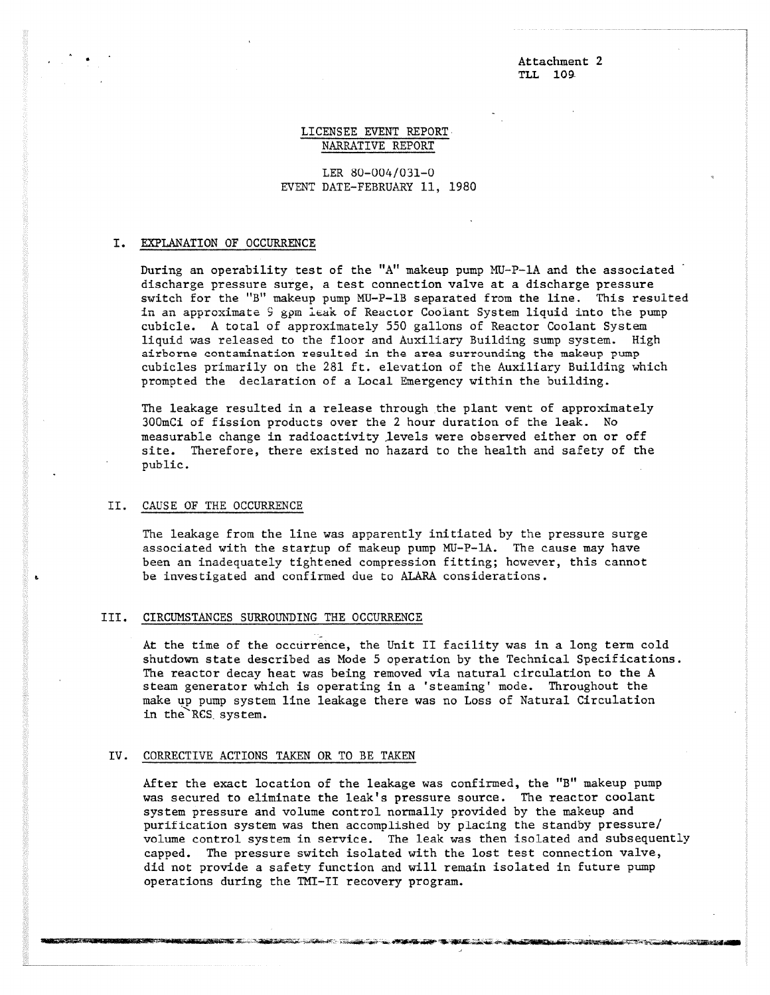Attachment 2 TLL 109-

# LICENSEE EVENT REPORT NARRATIVE REPORT

LER 80-004/031-0 EVENT DATE-FEBRUARY 11, 1980

## I. EXPLANATION OF OCCURRENCE

During an operability test of the "A" makeup pump MU-P-1A and the associated discharge pressure surge, a test connection valve at a discharge pressure switch for the "B" makeup pump MU-P-1B separated from the line. This resulted in an approximate S gpm leak of Reactor Coolant System liquid into the pump cubicle. A total of approximately 550 gallons of Reactor Coolant System liquid was released to the floor and Auxiliary Building sump system. High airborne contamination resulted in the area surrounding the makeup pump cubicles primarily on the 281 ft. elevation of the Auxiliary Building which prompted the declaration of a Local Emergency within the building.

The leakage resulted in a release through the plant vent of approximately 300mCi of fission products over the 2 hour duration of the leak. No measurable change in radioactivity levels were observed either on or off site. Therefore, there existed no hazard to the health and safety of the public.

## II. CAUSE OF THE OCCURRENCE

The leakage from the line was apparently initiated by the pressure surge associated with the startup of makeup pump MU-P-IA. The cause may have been an inadequately tightened compression fitting; however, this cannot be investigated and confirmed due to ALARA considerations.

#### III. CIRCUMSTANCES SURROUNDING THE OCCURRENCE

At the time of the occurrence, the Unit II facility was in a long term cold shutdown state described as Mode 5 operation by the Technical Specifications. The reactor decay heat was being removed via natural circulation to the A steam generator which is operating in a 'steaming' mode. Throughout the make up pump system line leakage there was no Loss of Natural Circulation in the RCS system.

#### IV. CORRECTIVE ACTIONS TAKEN OR TO BE TAKEN

": • ,PatuiZeilfliiK116.44

After the exact location of the leakage was confirmed, the "B" makeup pump was secured to eliminate the leak's pressure source. The reactor coolant system pressure and volume control normally provided by the makeup and purification system was then accomplished by placing the standby pressure/ volume control system in service. The leak was then isolated and subsequently capped. The pressure switch isolated with the lost test connection valve, did not provide a safety function and will remain isolated in future pump operations during the TMI-II recovery program.